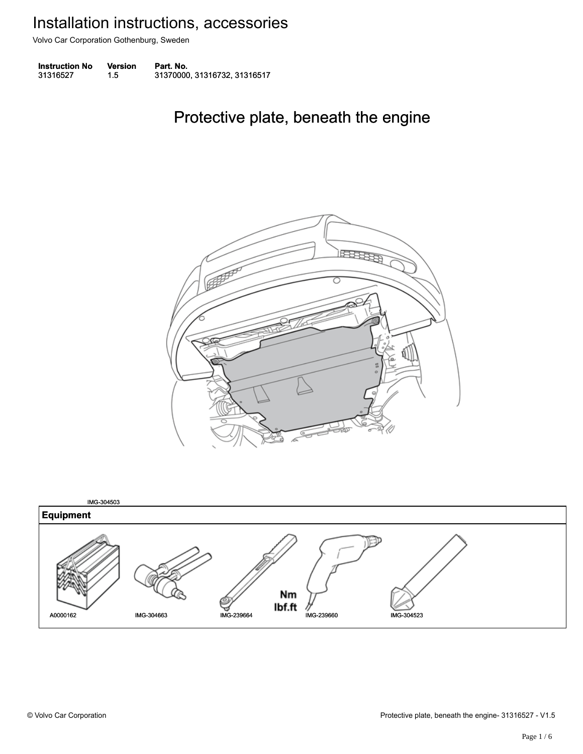Volvo Car Corporation Gothenburg, Sweden

| <b>Instruction No</b> | Version | Part. No.                    |
|-----------------------|---------|------------------------------|
| 31316527              | 1.5     | 31370000, 31316732, 31316517 |

### Protective plate, beneath the engine Protective plate, beneath the engine



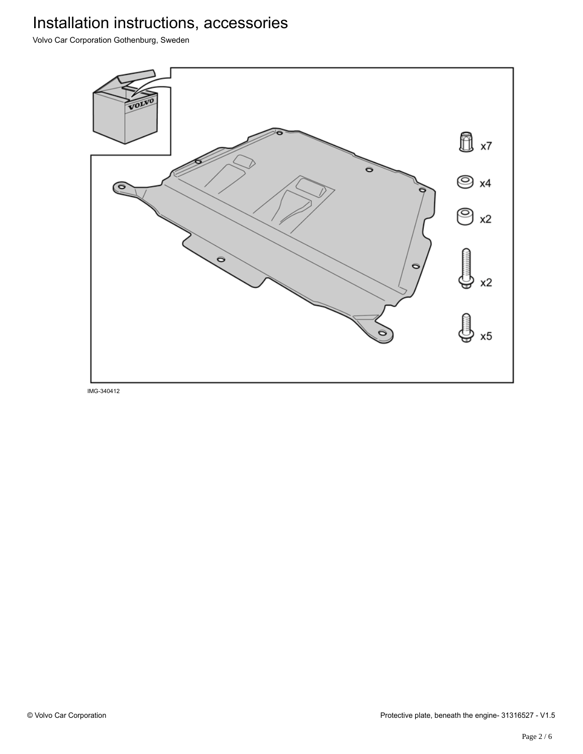Volvo Car Corporation Gothenburg, Sweden

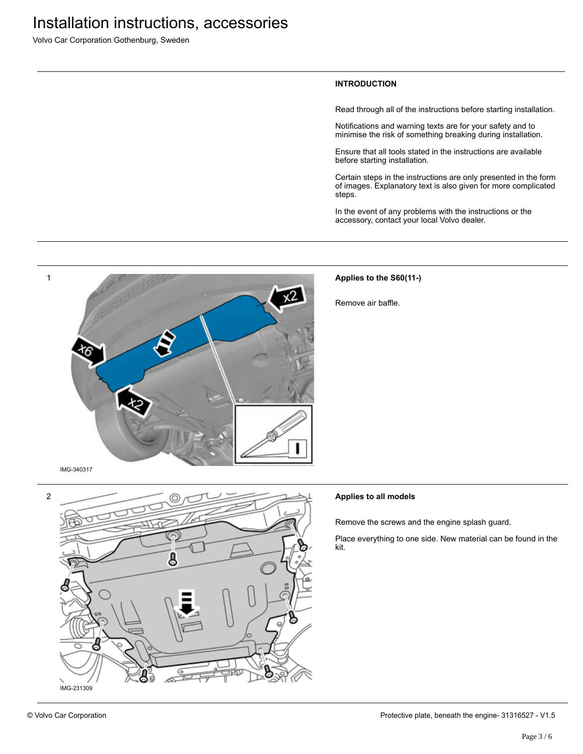Volvo Car Corporation Gothenburg, Sweden

#### **INTRODUCTION**

Read through all of the instructions before starting installation.

Notifications and warning texts are for your safety and to minimise the risk of something breaking during installation.

Ensure that all tools stated in the instructions are available before starting installation.

Certain steps in the instructions are only presented in the form of images. Explanatory text is also given for more complicated steps.

In the event of any problems with the instructions or the accessory, contact your local Volvo dealer.



### **Applies to the S60(11-)**

Remove air baffle.





### **Applies to all models**

Remove the screws and the engine splash guard.

Place everything to one side. New material can be found in the kit.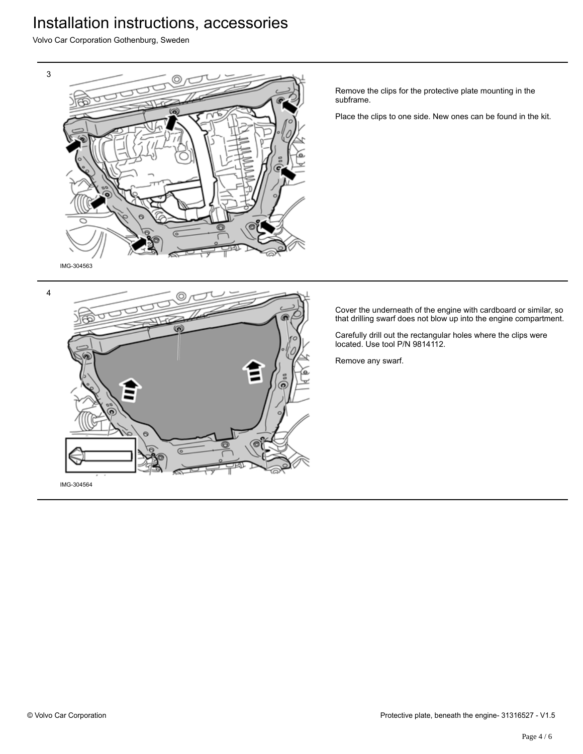Volvo Car Corporation Gothenburg, Sweden



Remove the clips for the protective plate mounting in the subframe.

Place the clips to one side. New ones can be found in the kit.

Cover the underneath of the engine with cardboard or similar, so that drilling swarf does not blow up into the engine compartment.

Carefully drill out the rectangular holes where the clips were located. Use tool P/N 9814112.

Remove any swarf.

4

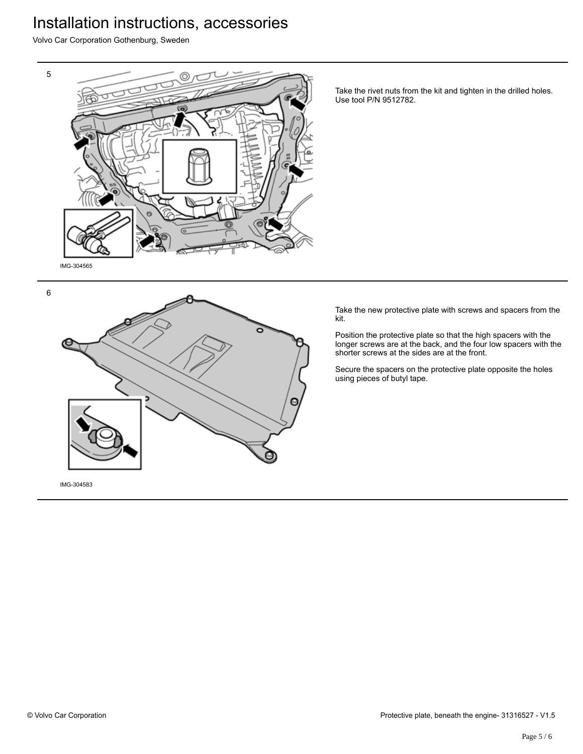Volvo Car Corporation Gothenburg, Sweden



Take the rivet nuts from the kit and tighten in the drilled holes. Use tool P/N 9512782.

Take the new protective plate with screws and spacers from the kit.

Position the protective plate so that the high spacers with the longer screws are at the back, and the four low spacers with the shorter screws at the sides are at the front.

Secure the spacers on the protective plate opposite the holes using pieces of butyl tape.

6



IMG-304583